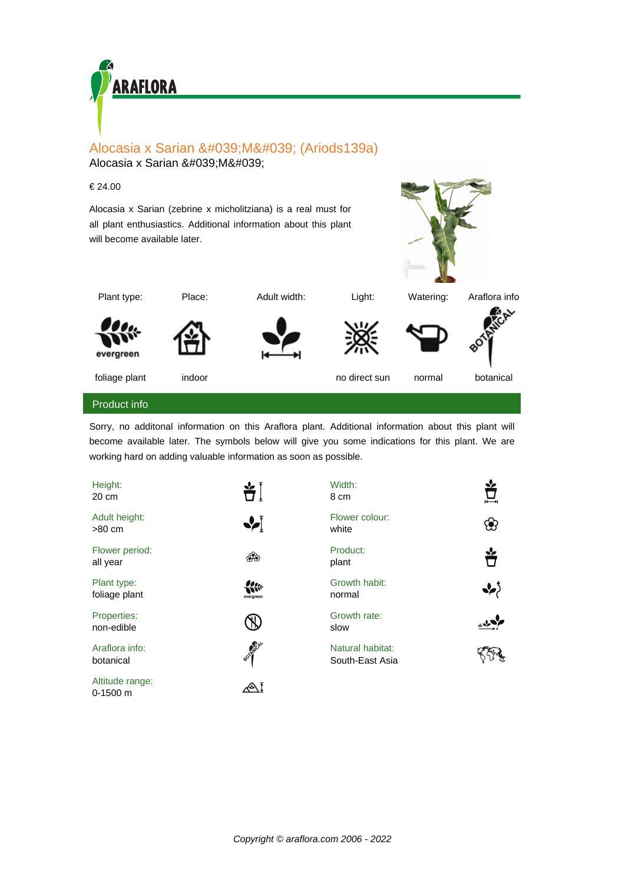

## Alocasia x Sarian ' M' (Ariods139a) Alocasia x Sarian ' M'

## € 24.00

Alocasia x Sarian (zebrine x micholitziana) is a real must for all plant enthusiastics. Additional information about this plant will become available later.



Plant type: Place: Adult width: Light: Watering: Araflora info





















foliage plant indoor indoor no direct sun normal botanical



## Product info

Sorry, no additonal information on this Araflora plant. Additional information about this plant will become available later. The symbols below will give you some indications for this plant. We are working hard on adding valuable information as soon as possible.

| Height:<br>20 cm              | ₩Ì         | Width:<br>8 cm                      | Ě  |
|-------------------------------|------------|-------------------------------------|----|
| Adult height:<br>$>80$ cm     | ₩          | Flower colour:<br>white             | හි |
| Flower period:<br>all year    | ශීම        | Product:<br>plant                   | ٣  |
| Plant type:<br>foliage plant  | evergreen  | Growth habit:<br>normal             |    |
| Properties:<br>non-edible     |            | Growth rate:<br>slow                |    |
| Araflora info:<br>botanical   | BOTH REPLY | Natural habitat:<br>South-East Asia |    |
| Altitude range:<br>$0-1500$ m | KA 1       |                                     |    |